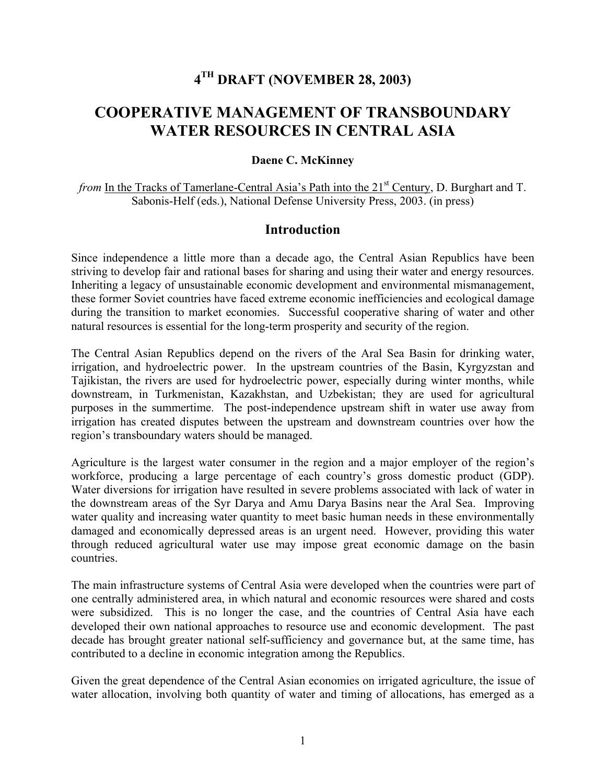# **4TH DRAFT (NOVEMBER 28, 2003)**

# **COOPERATIVE MANAGEMENT OF TRANSBOUNDARY WATER RESOURCES IN CENTRAL ASIA**

#### **Daene C. McKinney**

*from* In the Tracks of Tamerlane-Central Asia's Path into the 21<sup>st</sup> Century, D. Burghart and T. Sabonis-Helf (eds.), National Defense University Press, 2003. (in press)

#### **Introduction**

Since independence a little more than a decade ago, the Central Asian Republics have been striving to develop fair and rational bases for sharing and using their water and energy resources. Inheriting a legacy of unsustainable economic development and environmental mismanagement, these former Soviet countries have faced extreme economic inefficiencies and ecological damage during the transition to market economies. Successful cooperative sharing of water and other natural resources is essential for the long-term prosperity and security of the region.

The Central Asian Republics depend on the rivers of the Aral Sea Basin for drinking water, irrigation, and hydroelectric power. In the upstream countries of the Basin, Kyrgyzstan and Tajikistan, the rivers are used for hydroelectric power, especially during winter months, while downstream, in Turkmenistan, Kazakhstan, and Uzbekistan; they are used for agricultural purposes in the summertime. The post-independence upstream shift in water use away from irrigation has created disputes between the upstream and downstream countries over how the region's transboundary waters should be managed.

Agriculture is the largest water consumer in the region and a major employer of the region's workforce, producing a large percentage of each country's gross domestic product (GDP). Water diversions for irrigation have resulted in severe problems associated with lack of water in the downstream areas of the Syr Darya and Amu Darya Basins near the Aral Sea. Improving water quality and increasing water quantity to meet basic human needs in these environmentally damaged and economically depressed areas is an urgent need. However, providing this water through reduced agricultural water use may impose great economic damage on the basin countries.

The main infrastructure systems of Central Asia were developed when the countries were part of one centrally administered area, in which natural and economic resources were shared and costs were subsidized. This is no longer the case, and the countries of Central Asia have each developed their own national approaches to resource use and economic development. The past decade has brought greater national self-sufficiency and governance but, at the same time, has contributed to a decline in economic integration among the Republics.

Given the great dependence of the Central Asian economies on irrigated agriculture, the issue of water allocation, involving both quantity of water and timing of allocations, has emerged as a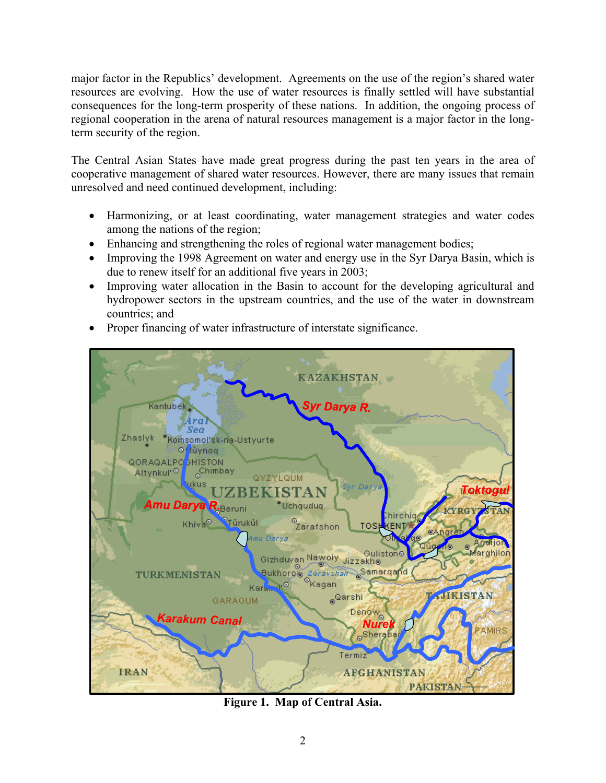major factor in the Republics' development. Agreements on the use of the region's shared water resources are evolving. How the use of water resources is finally settled will have substantial consequences for the long-term prosperity of these nations. In addition, the ongoing process of regional cooperation in the arena of natural resources management is a major factor in the longterm security of the region.

The Central Asian States have made great progress during the past ten years in the area of cooperative management of shared water resources. However, there are many issues that remain unresolved and need continued development, including:

- Harmonizing, or at least coordinating, water management strategies and water codes among the nations of the region;
- Enhancing and strengthening the roles of regional water management bodies;
- Improving the 1998 Agreement on water and energy use in the Syr Darya Basin, which is due to renew itself for an additional five years in 2003;
- Improving water allocation in the Basin to account for the developing agricultural and hydropower sectors in the upstream countries, and the use of the water in downstream countries; and



• Proper financing of water infrastructure of interstate significance.

**Figure 1. Map of Central Asia.**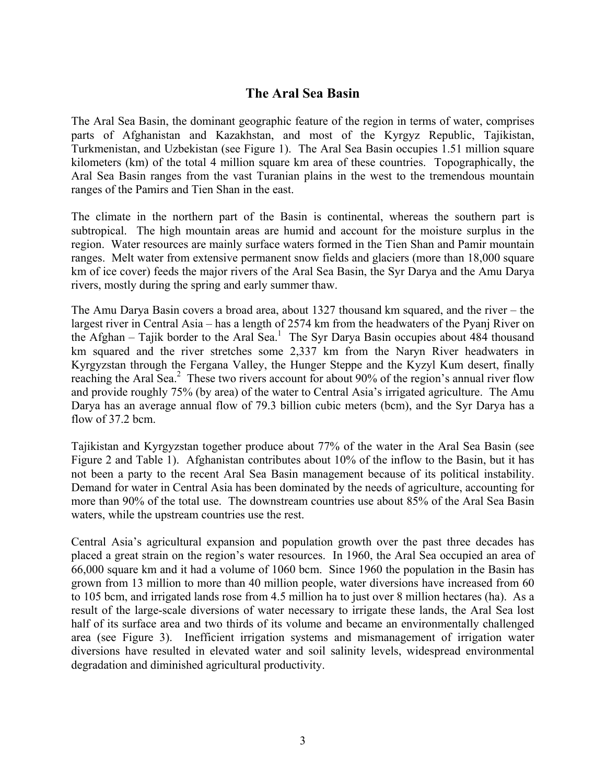### **The Aral Sea Basin**

The Aral Sea Basin, the dominant geographic feature of the region in terms of water, comprises parts of Afghanistan and Kazakhstan, and most of the Kyrgyz Republic, Tajikistan, Turkmenistan, and Uzbekistan (see Figure 1). The Aral Sea Basin occupies 1.51 million square kilometers (km) of the total 4 million square km area of these countries. Topographically, the Aral Sea Basin ranges from the vast Turanian plains in the west to the tremendous mountain ranges of the Pamirs and Tien Shan in the east.

The climate in the northern part of the Basin is continental, whereas the southern part is subtropical. The high mountain areas are humid and account for the moisture surplus in the region. Water resources are mainly surface waters formed in the Tien Shan and Pamir mountain ranges. Melt water from extensive permanent snow fields and glaciers (more than 18,000 square km of ice cover) feeds the major rivers of the Aral Sea Basin, the Syr Darya and the Amu Darya rivers, mostly during the spring and early summer thaw.

The Amu Darya Basin covers a broad area, about 1327 thousand km squared, and the river – the largest river in Central Asia – has a length of 2574 km from the headwaters of the Pyanj River on the Afghan – Tajik border to the Aral Sea.<sup>1</sup> The Syr Darya Basin occupies about 484 thousand km squared and the river stretches some 2,337 km from the Naryn River headwaters in Kyrgyzstan through the Fergana Valley, the Hunger Steppe and the Kyzyl Kum desert, finally reaching the Aral Sea.<sup>2</sup> These two rivers account for about 90% of the region's annual river flow and provide roughly 75% (by area) of the water to Central Asia's irrigated agriculture. The Amu Darya has an average annual flow of 79.3 billion cubic meters (bcm), and the Syr Darya has a flow of 37.2 bcm.

Tajikistan and Kyrgyzstan together produce about 77% of the water in the Aral Sea Basin (see Figure 2 and Table 1). Afghanistan contributes about 10% of the inflow to the Basin, but it has not been a party to the recent Aral Sea Basin management because of its political instability. Demand for water in Central Asia has been dominated by the needs of agriculture, accounting for more than 90% of the total use. The downstream countries use about 85% of the Aral Sea Basin waters, while the upstream countries use the rest.

Central Asia's agricultural expansion and population growth over the past three decades has placed a great strain on the region's water resources. In 1960, the Aral Sea occupied an area of 66,000 square km and it had a volume of 1060 bcm. Since 1960 the population in the Basin has grown from 13 million to more than 40 million people, water diversions have increased from 60 to 105 bcm, and irrigated lands rose from 4.5 million ha to just over 8 million hectares (ha). As a result of the large-scale diversions of water necessary to irrigate these lands, the Aral Sea lost half of its surface area and two thirds of its volume and became an environmentally challenged area (see Figure 3). Inefficient irrigation systems and mismanagement of irrigation water diversions have resulted in elevated water and soil salinity levels, widespread environmental degradation and diminished agricultural productivity.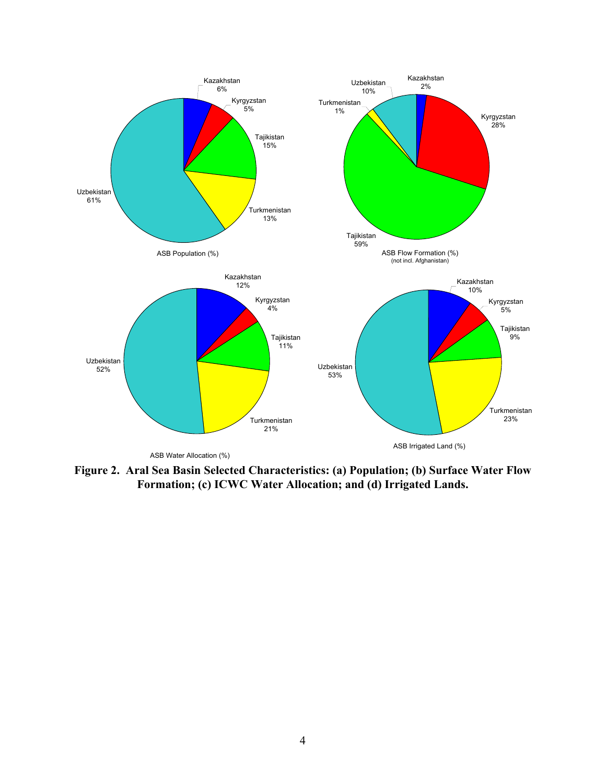

**Figure 2. Aral Sea Basin Selected Characteristics: (a) Population; (b) Surface Water Flow Formation; (c) ICWC Water Allocation; and (d) Irrigated Lands.**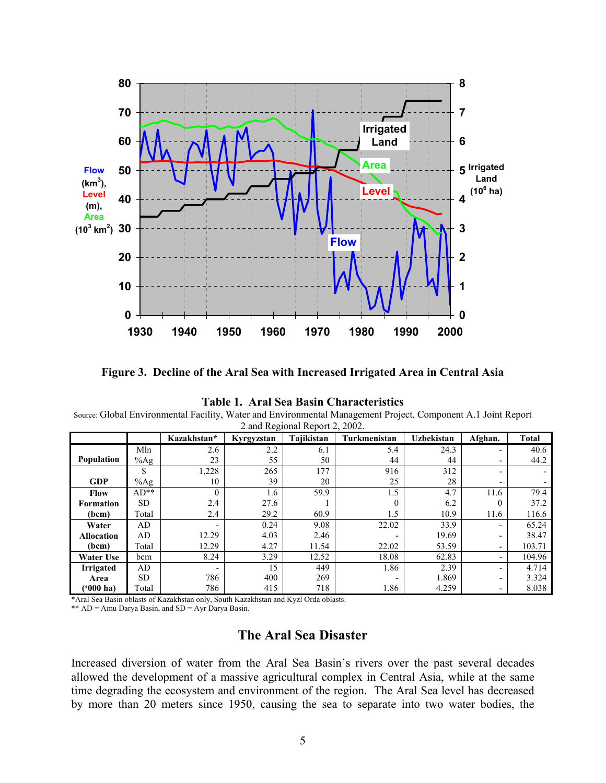

**Figure 3. Decline of the Aral Sea with Increased Irrigated Area in Central Asia** 

**Table 1. Aral Sea Basin Characteristics** 

Source: Global Environmental Facility, Water and Environmental Management Project, Component A.1 Joint Report 2 and Regional Report 2, 2002.

|                   |           | Kazakhstan* | Kyrgyzstan | Tajikistan | Turkmenistan | Uzbekistan | Afghan.                  | <b>Total</b> |
|-------------------|-----------|-------------|------------|------------|--------------|------------|--------------------------|--------------|
|                   | Mln       | 2.6         | 2.2        | 6.1        | 5.4          | 24.3       |                          | 40.6         |
| <b>Population</b> | %Ag       | 23          | 55         | 50         | 44           | 44         |                          | 44.2         |
|                   |           | 1,228       | 265        | 177        | 916          | 312        |                          |              |
| <b>GDP</b>        | %Ag       | 10          | 39         | 20         | 25           | 28         |                          |              |
| <b>Flow</b>       | $AD**$    | $\Omega$    | 1.6        | 59.9       | 1.5          | 4.7        | 11.6                     | 79.4         |
| Formation         | <b>SD</b> | 2.4         | 27.6       |            | $\theta$     | 6.2        |                          | 37.2         |
| (bcm)             | Total     | 2.4         | 29.2       | 60.9       | 1.5          | 10.9       | 11.6                     | 116.6        |
| Water             | AD        |             | 0.24       | 9.08       | 22.02        | 33.9       |                          | 65.24        |
| <b>Allocation</b> | AD        | 12.29       | 4.03       | 2.46       |              | 19.69      | $\overline{\phantom{0}}$ | 38.47        |
| (bcm)             | Total     | 12.29       | 4.27       | 11.54      | 22.02        | 53.59      | $\overline{\phantom{0}}$ | 103.71       |
| <b>Water Use</b>  | bcm       | 8.24        | 3.29       | 12.52      | 18.08        | 62.83      |                          | 104.96       |
| <b>Irrigated</b>  | AD        |             | 15         | 449        | 1.86         | 2.39       |                          | 4.714        |
| Area              | <b>SD</b> | 786         | 400        | 269        |              | 1.869      | -                        | 3.324        |
| ('000 ha)         | Total     | 786         | 415        | 718        | 1.86         | 4.259      |                          | 8.038        |

\*Aral Sea Basin oblasts of Kazakhstan only, South Kazakhstan and Kyzl Orda oblasts.

\*\* AD = Amu Darya Basin, and SD = Ayr Darya Basin.

#### **The Aral Sea Disaster**

Increased diversion of water from the Aral Sea Basin's rivers over the past several decades allowed the development of a massive agricultural complex in Central Asia, while at the same time degrading the ecosystem and environment of the region. The Aral Sea level has decreased by more than 20 meters since 1950, causing the sea to separate into two water bodies, the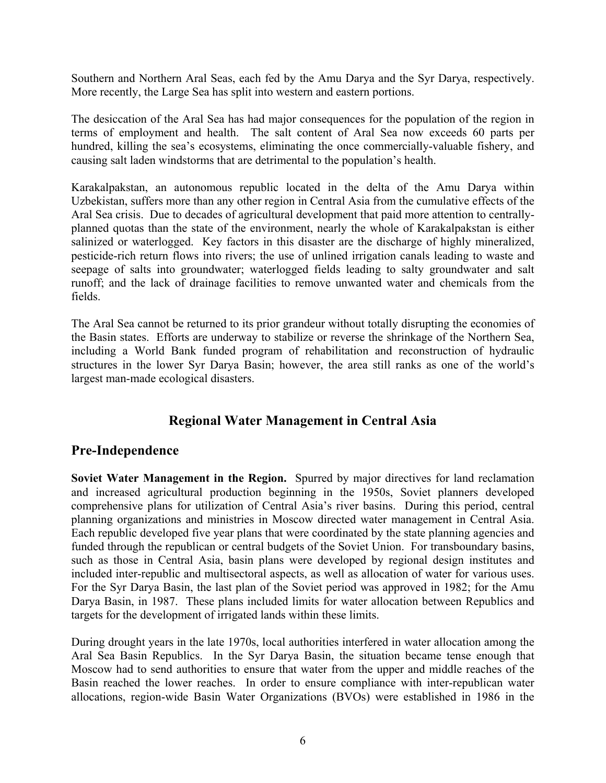Southern and Northern Aral Seas, each fed by the Amu Darya and the Syr Darya, respectively. More recently, the Large Sea has split into western and eastern portions.

The desiccation of the Aral Sea has had major consequences for the population of the region in terms of employment and health. The salt content of Aral Sea now exceeds 60 parts per hundred, killing the sea's ecosystems, eliminating the once commercially-valuable fishery, and causing salt laden windstorms that are detrimental to the population's health.

Karakalpakstan, an autonomous republic located in the delta of the Amu Darya within Uzbekistan, suffers more than any other region in Central Asia from the cumulative effects of the Aral Sea crisis. Due to decades of agricultural development that paid more attention to centrallyplanned quotas than the state of the environment, nearly the whole of Karakalpakstan is either salinized or waterlogged. Key factors in this disaster are the discharge of highly mineralized, pesticide-rich return flows into rivers; the use of unlined irrigation canals leading to waste and seepage of salts into groundwater; waterlogged fields leading to salty groundwater and salt runoff; and the lack of drainage facilities to remove unwanted water and chemicals from the fields.

The Aral Sea cannot be returned to its prior grandeur without totally disrupting the economies of the Basin states. Efforts are underway to stabilize or reverse the shrinkage of the Northern Sea, including a World Bank funded program of rehabilitation and reconstruction of hydraulic structures in the lower Syr Darya Basin; however, the area still ranks as one of the world's largest man-made ecological disasters.

# **Regional Water Management in Central Asia**

#### **Pre-Independence**

**Soviet Water Management in the Region.** Spurred by major directives for land reclamation and increased agricultural production beginning in the 1950s, Soviet planners developed comprehensive plans for utilization of Central Asia's river basins. During this period, central planning organizations and ministries in Moscow directed water management in Central Asia. Each republic developed five year plans that were coordinated by the state planning agencies and funded through the republican or central budgets of the Soviet Union. For transboundary basins, such as those in Central Asia, basin plans were developed by regional design institutes and included inter-republic and multisectoral aspects, as well as allocation of water for various uses. For the Syr Darya Basin, the last plan of the Soviet period was approved in 1982; for the Amu Darya Basin, in 1987. These plans included limits for water allocation between Republics and targets for the development of irrigated lands within these limits.

During drought years in the late 1970s, local authorities interfered in water allocation among the Aral Sea Basin Republics. In the Syr Darya Basin, the situation became tense enough that Moscow had to send authorities to ensure that water from the upper and middle reaches of the Basin reached the lower reaches. In order to ensure compliance with inter-republican water allocations, region-wide Basin Water Organizations (BVOs) were established in 1986 in the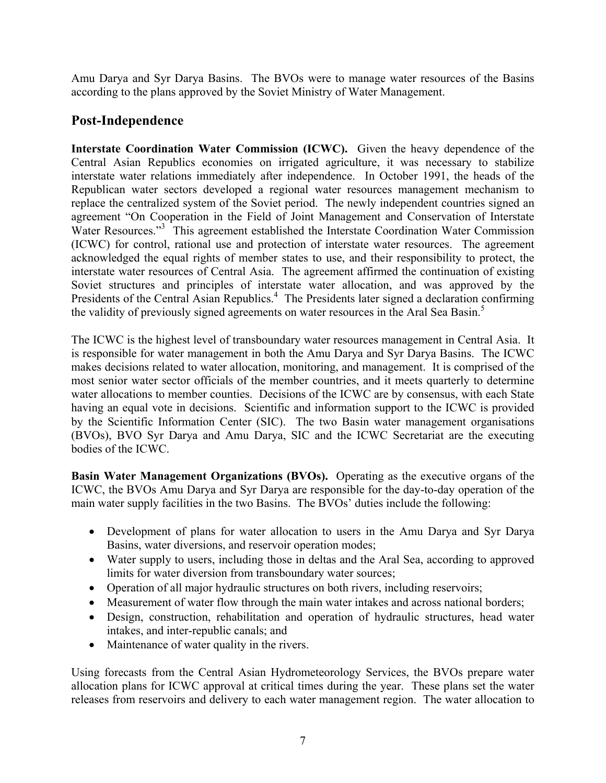Amu Darya and Syr Darya Basins. The BVOs were to manage water resources of the Basins according to the plans approved by the Soviet Ministry of Water Management.

### **Post-Independence**

**Interstate Coordination Water Commission (ICWC).** Given the heavy dependence of the Central Asian Republics economies on irrigated agriculture, it was necessary to stabilize interstate water relations immediately after independence. In October 1991, the heads of the Republican water sectors developed a regional water resources management mechanism to replace the centralized system of the Soviet period. The newly independent countries signed an agreement "On Cooperation in the Field of Joint Management and Conservation of Interstate Water Resources."<sup>3</sup> This agreement established the Interstate Coordination Water Commission (ICWC) for control, rational use and protection of interstate water resources. The agreement acknowledged the equal rights of member states to use, and their responsibility to protect, the interstate water resources of Central Asia. The agreement affirmed the continuation of existing Soviet structures and principles of interstate water allocation, and was approved by the Presidents of the Central Asian Republics.<sup>4</sup> The Presidents later signed a declaration confirming the validity of previously signed agreements on water resources in the Aral Sea Basin.<sup>5</sup>

The ICWC is the highest level of transboundary water resources management in Central Asia. It is responsible for water management in both the Amu Darya and Syr Darya Basins. The ICWC makes decisions related to water allocation, monitoring, and management. It is comprised of the most senior water sector officials of the member countries, and it meets quarterly to determine water allocations to member counties. Decisions of the ICWC are by consensus, with each State having an equal vote in decisions. Scientific and information support to the ICWC is provided by the Scientific Information Center (SIC). The two Basin water management organisations (BVOs), BVO Syr Darya and Amu Darya, SIC and the ICWC Secretariat are the executing bodies of the ICWC.

**Basin Water Management Organizations (BVOs).** Operating as the executive organs of the ICWC, the BVOs Amu Darya and Syr Darya are responsible for the day-to-day operation of the main water supply facilities in the two Basins. The BVOs' duties include the following:

- Development of plans for water allocation to users in the Amu Darya and Syr Darya Basins, water diversions, and reservoir operation modes;
- Water supply to users, including those in deltas and the Aral Sea, according to approved limits for water diversion from transboundary water sources;
- Operation of all major hydraulic structures on both rivers, including reservoirs;
- Measurement of water flow through the main water intakes and across national borders;
- Design, construction, rehabilitation and operation of hydraulic structures, head water intakes, and inter-republic canals; and
- Maintenance of water quality in the rivers.

Using forecasts from the Central Asian Hydrometeorology Services, the BVOs prepare water allocation plans for ICWC approval at critical times during the year. These plans set the water releases from reservoirs and delivery to each water management region. The water allocation to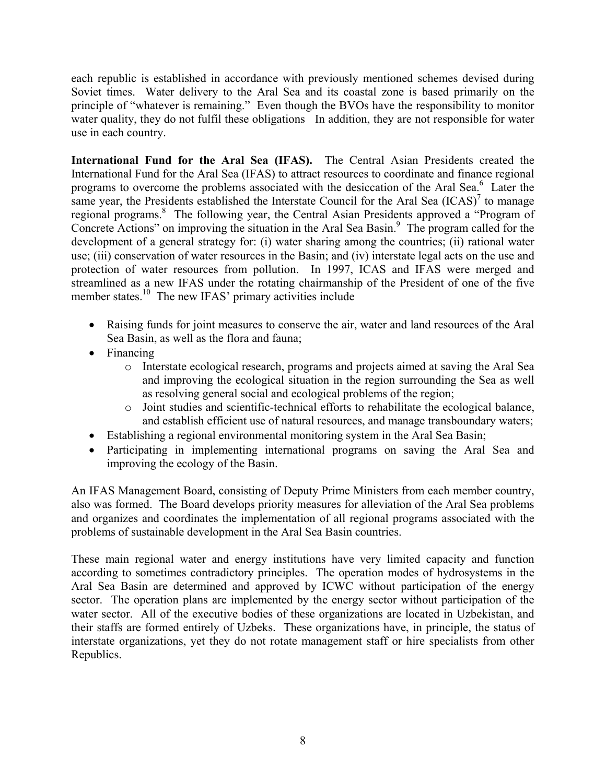each republic is established in accordance with previously mentioned schemes devised during Soviet times. Water delivery to the Aral Sea and its coastal zone is based primarily on the principle of "whatever is remaining." Even though the BVOs have the responsibility to monitor water quality, they do not fulfil these obligations In addition, they are not responsible for water use in each country.

**International Fund for the Aral Sea (IFAS).** The Central Asian Presidents created the International Fund for the Aral Sea (IFAS) to attract resources to coordinate and finance regional programs to overcome the problems associated with the desiccation of the Aral Sea.<sup>6</sup> Later the same year, the Presidents established the Interstate Council for the Aral Sea  $(ICAS)^7$  to manage regional programs.<sup>8</sup> The following year, the Central Asian Presidents approved a "Program of Concrete Actions" on improving the situation in the Aral Sea Basin.<sup>9</sup> The program called for the development of a general strategy for: (i) water sharing among the countries; (ii) rational water use; (iii) conservation of water resources in the Basin; and (iv) interstate legal acts on the use and protection of water resources from pollution. In 1997, ICAS and IFAS were merged and streamlined as a new IFAS under the rotating chairmanship of the President of one of the five member states.<sup>10</sup> The new IFAS' primary activities include

- Raising funds for joint measures to conserve the air, water and land resources of the Aral Sea Basin, as well as the flora and fauna;
- Financing
	- o Interstate ecological research, programs and projects aimed at saving the Aral Sea and improving the ecological situation in the region surrounding the Sea as well as resolving general social and ecological problems of the region;
	- o Joint studies and scientific-technical efforts to rehabilitate the ecological balance, and establish efficient use of natural resources, and manage transboundary waters;
- Establishing a regional environmental monitoring system in the Aral Sea Basin;
- Participating in implementing international programs on saving the Aral Sea and improving the ecology of the Basin.

An IFAS Management Board, consisting of Deputy Prime Ministers from each member country, also was formed. The Board develops priority measures for alleviation of the Aral Sea problems and organizes and coordinates the implementation of all regional programs associated with the problems of sustainable development in the Aral Sea Basin countries.

These main regional water and energy institutions have very limited capacity and function according to sometimes contradictory principles. The operation modes of hydrosystems in the Aral Sea Basin are determined and approved by ICWC without participation of the energy sector. The operation plans are implemented by the energy sector without participation of the water sector. All of the executive bodies of these organizations are located in Uzbekistan, and their staffs are formed entirely of Uzbeks. These organizations have, in principle, the status of interstate organizations, yet they do not rotate management staff or hire specialists from other Republics.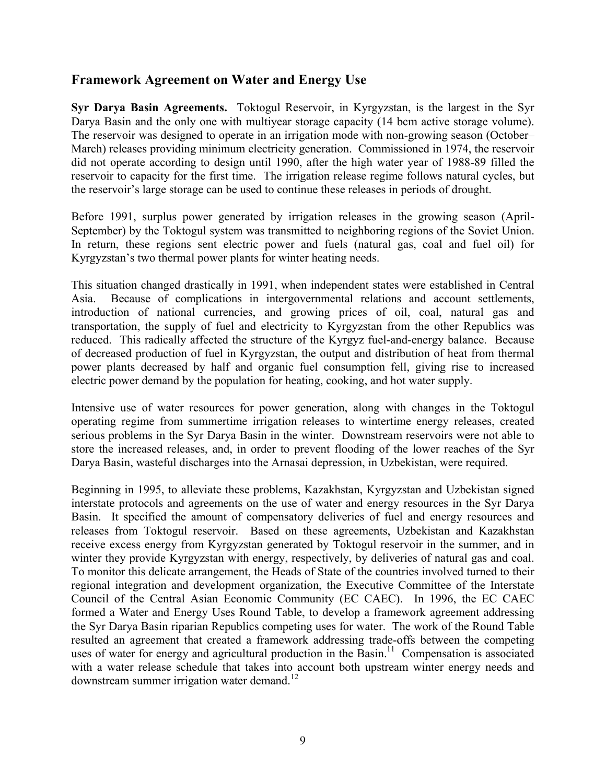#### **Framework Agreement on Water and Energy Use**

**Syr Darya Basin Agreements.** Toktogul Reservoir, in Kyrgyzstan, is the largest in the Syr Darya Basin and the only one with multiyear storage capacity (14 bcm active storage volume). The reservoir was designed to operate in an irrigation mode with non-growing season (October– March) releases providing minimum electricity generation. Commissioned in 1974, the reservoir did not operate according to design until 1990, after the high water year of 1988-89 filled the reservoir to capacity for the first time. The irrigation release regime follows natural cycles, but the reservoir's large storage can be used to continue these releases in periods of drought.

Before 1991, surplus power generated by irrigation releases in the growing season (April-September) by the Toktogul system was transmitted to neighboring regions of the Soviet Union. In return, these regions sent electric power and fuels (natural gas, coal and fuel oil) for Kyrgyzstan's two thermal power plants for winter heating needs.

This situation changed drastically in 1991, when independent states were established in Central Asia. Because of complications in intergovernmental relations and account settlements, introduction of national currencies, and growing prices of oil, coal, natural gas and transportation, the supply of fuel and electricity to Kyrgyzstan from the other Republics was reduced. This radically affected the structure of the Kyrgyz fuel-and-energy balance. Because of decreased production of fuel in Kyrgyzstan, the output and distribution of heat from thermal power plants decreased by half and organic fuel consumption fell, giving rise to increased electric power demand by the population for heating, cooking, and hot water supply.

Intensive use of water resources for power generation, along with changes in the Toktogul operating regime from summertime irrigation releases to wintertime energy releases, created serious problems in the Syr Darya Basin in the winter. Downstream reservoirs were not able to store the increased releases, and, in order to prevent flooding of the lower reaches of the Syr Darya Basin, wasteful discharges into the Arnasai depression, in Uzbekistan, were required.

Beginning in 1995, to alleviate these problems, Kazakhstan, Kyrgyzstan and Uzbekistan signed interstate protocols and agreements on the use of water and energy resources in the Syr Darya Basin. It specified the amount of compensatory deliveries of fuel and energy resources and releases from Toktogul reservoir. Based on these agreements, Uzbekistan and Kazakhstan receive excess energy from Kyrgyzstan generated by Toktogul reservoir in the summer, and in winter they provide Kyrgyzstan with energy, respectively, by deliveries of natural gas and coal. To monitor this delicate arrangement, the Heads of State of the countries involved turned to their regional integration and development organization, the Executive Committee of the Interstate Council of the Central Asian Economic Community (EC CAEC). In 1996, the EC CAEC formed a Water and Energy Uses Round Table, to develop a framework agreement addressing the Syr Darya Basin riparian Republics competing uses for water. The work of the Round Table resulted an agreement that created a framework addressing trade-offs between the competing uses of water for energy and agricultural production in the Basin.<sup>11</sup> Compensation is associated with a water release schedule that takes into account both upstream winter energy needs and downstream summer irrigation water demand.<sup>12</sup>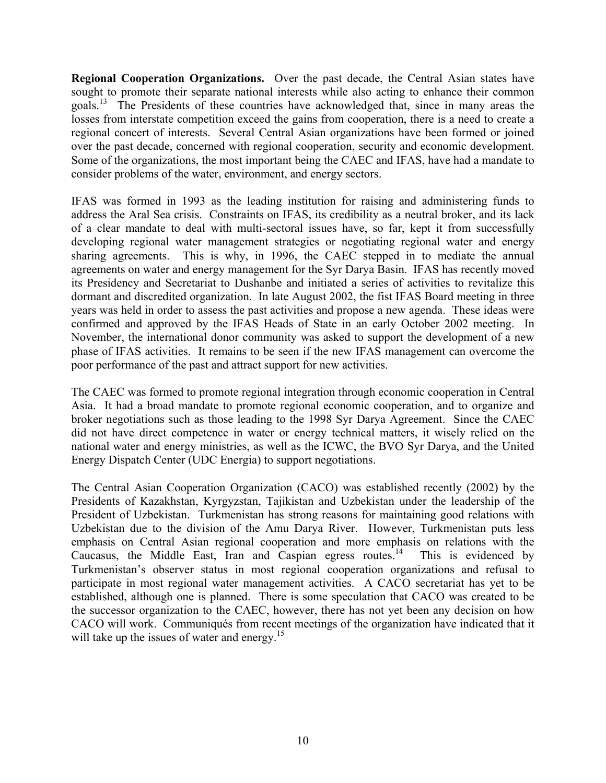**Regional Cooperation Organizations.** Over the past decade, the Central Asian states have sought to promote their separate national interests while also acting to enhance their common goals.<sup>13</sup> The Presidents of these countries have acknowledged that, since in many areas the losses from interstate competition exceed the gains from cooperation, there is a need to create a regional concert of interests. Several Central Asian organizations have been formed or joined over the past decade, concerned with regional cooperation, security and economic development. Some of the organizations, the most important being the CAEC and IFAS, have had a mandate to consider problems of the water, environment, and energy sectors.

IFAS was formed in 1993 as the leading institution for raising and administering funds to address the Aral Sea crisis. Constraints on IFAS, its credibility as a neutral broker, and its lack of a clear mandate to deal with multi-sectoral issues have, so far, kept it from successfully developing regional water management strategies or negotiating regional water and energy sharing agreements. This is why, in 1996, the CAEC stepped in to mediate the annual agreements on water and energy management for the Syr Darya Basin. IFAS has recently moved its Presidency and Secretariat to Dushanbe and initiated a series of activities to revitalize this dormant and discredited organization. In late August 2002, the fist IFAS Board meeting in three years was held in order to assess the past activities and propose a new agenda. These ideas were confirmed and approved by the IFAS Heads of State in an early October 2002 meeting. In November, the international donor community was asked to support the development of a new phase of IFAS activities. It remains to be seen if the new IFAS management can overcome the poor performance of the past and attract support for new activities.

The CAEC was formed to promote regional integration through economic cooperation in Central Asia. It had a broad mandate to promote regional economic cooperation, and to organize and broker negotiations such as those leading to the 1998 Syr Darya Agreement. Since the CAEC did not have direct competence in water or energy technical matters, it wisely relied on the national water and energy ministries, as well as the ICWC, the BVO Syr Darya, and the United Energy Dispatch Center (UDC Energia) to support negotiations.

The Central Asian Cooperation Organization (CACO) was established recently (2002) by the Presidents of Kazakhstan, Kyrgyzstan, Tajikistan and Uzbekistan under the leadership of the President of Uzbekistan. Turkmenistan has strong reasons for maintaining good relations with Uzbekistan due to the division of the Amu Darya River. However, Turkmenistan puts less emphasis on Central Asian regional cooperation and more emphasis on relations with the Caucasus, the Middle East, Iran and Caspian egress routes.<sup>14</sup> This is evidenced by Turkmenistan's observer status in most regional cooperation organizations and refusal to participate in most regional water management activities. A CACO secretariat has yet to be established, although one is planned. There is some speculation that CACO was created to be the successor organization to the CAEC, however, there has not yet been any decision on how CACO will work. Communiqués from recent meetings of the organization have indicated that it will take up the issues of water and energy.<sup>15</sup>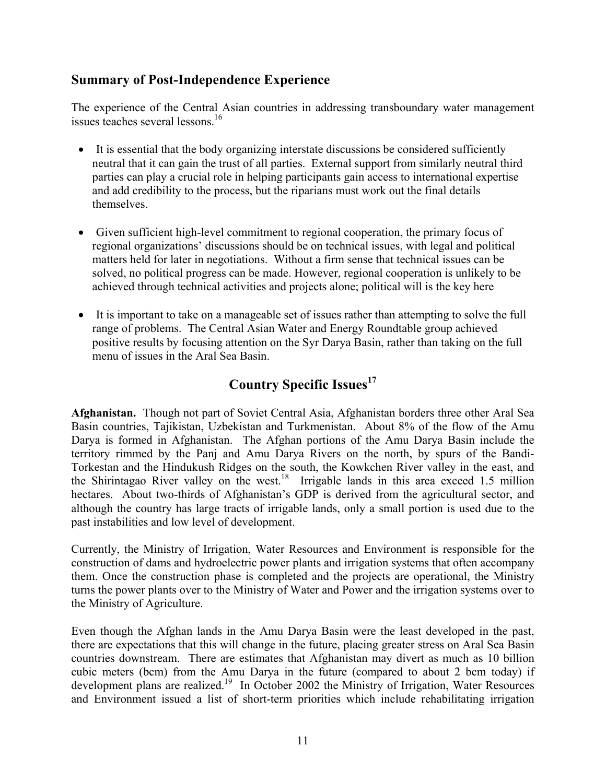## **Summary of Post-Independence Experience**

The experience of the Central Asian countries in addressing transboundary water management issues teaches several lessons.<sup>16</sup>

- It is essential that the body organizing interstate discussions be considered sufficiently neutral that it can gain the trust of all parties. External support from similarly neutral third parties can play a crucial role in helping participants gain access to international expertise and add credibility to the process, but the riparians must work out the final details themselves.
- Given sufficient high-level commitment to regional cooperation, the primary focus of regional organizations' discussions should be on technical issues, with legal and political matters held for later in negotiations. Without a firm sense that technical issues can be solved, no political progress can be made. However, regional cooperation is unlikely to be achieved through technical activities and projects alone; political will is the key here
- It is important to take on a manageable set of issues rather than attempting to solve the full range of problems. The Central Asian Water and Energy Roundtable group achieved positive results by focusing attention on the Syr Darya Basin, rather than taking on the full menu of issues in the Aral Sea Basin.

# **Country Specific Issues<sup>17</sup>**

**Afghanistan.** Though not part of Soviet Central Asia, Afghanistan borders three other Aral Sea Basin countries, Tajikistan, Uzbekistan and Turkmenistan. About 8% of the flow of the Amu Darya is formed in Afghanistan. The Afghan portions of the Amu Darya Basin include the territory rimmed by the Panj and Amu Darya Rivers on the north, by spurs of the Bandi-Torkestan and the Hindukush Ridges on the south, the Kowkchen River valley in the east, and the Shirintagao River valley on the west.<sup>18</sup> Irrigable lands in this area exceed 1.5 million hectares. About two-thirds of Afghanistan's GDP is derived from the agricultural sector, and although the country has large tracts of irrigable lands, only a small portion is used due to the past instabilities and low level of development.

Currently, the Ministry of Irrigation, Water Resources and Environment is responsible for the construction of dams and hydroelectric power plants and irrigation systems that often accompany them. Once the construction phase is completed and the projects are operational, the Ministry turns the power plants over to the Ministry of Water and Power and the irrigation systems over to the Ministry of Agriculture.

Even though the Afghan lands in the Amu Darya Basin were the least developed in the past, there are expectations that this will change in the future, placing greater stress on Aral Sea Basin countries downstream. There are estimates that Afghanistan may divert as much as 10 billion cubic meters (bcm) from the Amu Darya in the future (compared to about 2 bcm today) if development plans are realized.<sup>19</sup> In October 2002 the Ministry of Irrigation, Water Resources and Environment issued a list of short-term priorities which include rehabilitating irrigation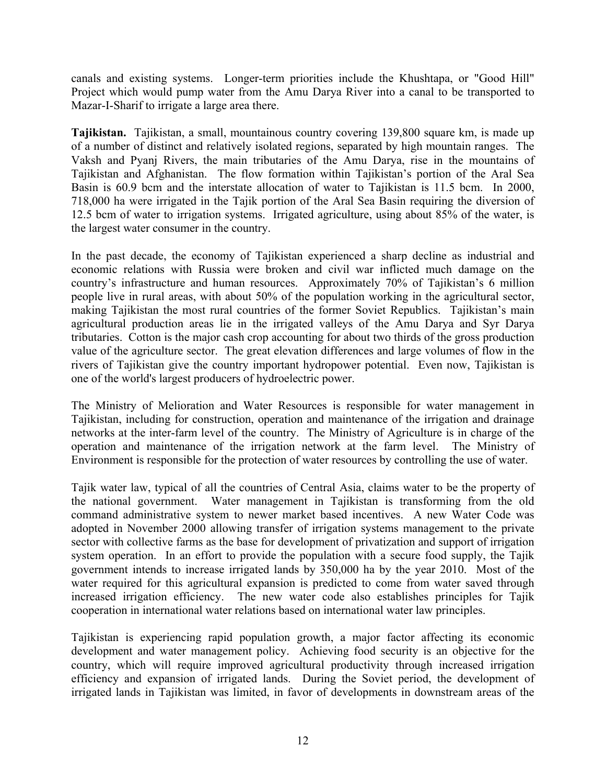canals and existing systems. Longer-term priorities include the Khushtapa, or "Good Hill" Project which would pump water from the Amu Darya River into a canal to be transported to Mazar-I-Sharif to irrigate a large area there.

**Tajikistan.** Tajikistan, a small, mountainous country covering 139,800 square km, is made up of a number of distinct and relatively isolated regions, separated by high mountain ranges. The Vaksh and Pyanj Rivers, the main tributaries of the Amu Darya, rise in the mountains of Tajikistan and Afghanistan. The flow formation within Tajikistan's portion of the Aral Sea Basin is 60.9 bcm and the interstate allocation of water to Tajikistan is 11.5 bcm. In 2000, 718,000 ha were irrigated in the Tajik portion of the Aral Sea Basin requiring the diversion of 12.5 bcm of water to irrigation systems. Irrigated agriculture, using about 85% of the water, is the largest water consumer in the country.

In the past decade, the economy of Tajikistan experienced a sharp decline as industrial and economic relations with Russia were broken and civil war inflicted much damage on the country's infrastructure and human resources. Approximately 70% of Tajikistan's 6 million people live in rural areas, with about 50% of the population working in the agricultural sector, making Tajikistan the most rural countries of the former Soviet Republics. Tajikistan's main agricultural production areas lie in the irrigated valleys of the Amu Darya and Syr Darya tributaries. Cotton is the major cash crop accounting for about two thirds of the gross production value of the agriculture sector. The great elevation differences and large volumes of flow in the rivers of Tajikistan give the country important hydropower potential. Even now, Tajikistan is one of the world's largest producers of hydroelectric power.

The Ministry of Melioration and Water Resources is responsible for water management in Tajikistan, including for construction, operation and maintenance of the irrigation and drainage networks at the inter-farm level of the country. The Ministry of Agriculture is in charge of the operation and maintenance of the irrigation network at the farm level. The Ministry of Environment is responsible for the protection of water resources by controlling the use of water.

Tajik water law, typical of all the countries of Central Asia, claims water to be the property of the national government. Water management in Tajikistan is transforming from the old command administrative system to newer market based incentives. A new Water Code was adopted in November 2000 allowing transfer of irrigation systems management to the private sector with collective farms as the base for development of privatization and support of irrigation system operation. In an effort to provide the population with a secure food supply, the Tajik government intends to increase irrigated lands by 350,000 ha by the year 2010. Most of the water required for this agricultural expansion is predicted to come from water saved through increased irrigation efficiency. The new water code also establishes principles for Tajik cooperation in international water relations based on international water law principles.

Tajikistan is experiencing rapid population growth, a major factor affecting its economic development and water management policy. Achieving food security is an objective for the country, which will require improved agricultural productivity through increased irrigation efficiency and expansion of irrigated lands. During the Soviet period, the development of irrigated lands in Tajikistan was limited, in favor of developments in downstream areas of the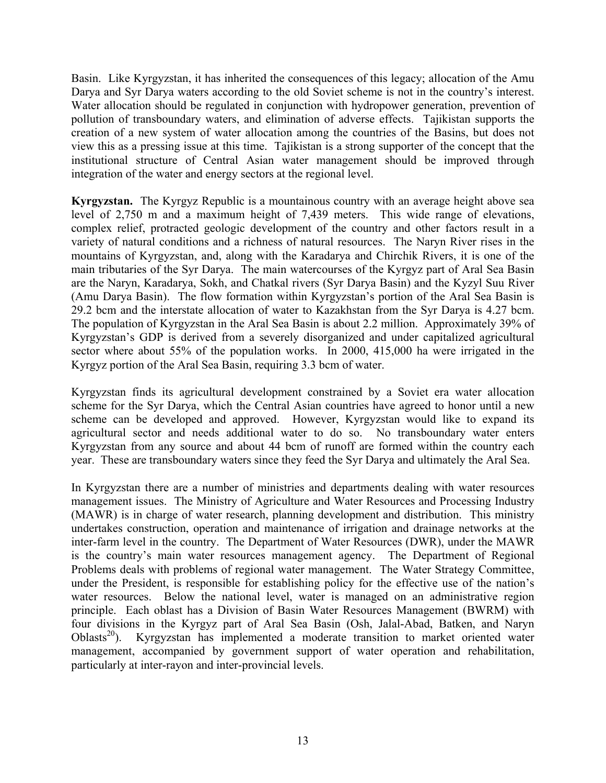Basin. Like Kyrgyzstan, it has inherited the consequences of this legacy; allocation of the Amu Darya and Syr Darya waters according to the old Soviet scheme is not in the country's interest. Water allocation should be regulated in conjunction with hydropower generation, prevention of pollution of transboundary waters, and elimination of adverse effects. Tajikistan supports the creation of a new system of water allocation among the countries of the Basins, but does not view this as a pressing issue at this time. Tajikistan is a strong supporter of the concept that the institutional structure of Central Asian water management should be improved through integration of the water and energy sectors at the regional level.

**Kyrgyzstan.** The Kyrgyz Republic is a mountainous country with an average height above sea level of 2,750 m and a maximum height of 7,439 meters. This wide range of elevations, complex relief, protracted geologic development of the country and other factors result in a variety of natural conditions and a richness of natural resources. The Naryn River rises in the mountains of Kyrgyzstan, and, along with the Karadarya and Chirchik Rivers, it is one of the main tributaries of the Syr Darya. The main watercourses of the Kyrgyz part of Aral Sea Basin are the Naryn, Karadarya, Sokh, and Chatkal rivers (Syr Darya Basin) and the Kyzyl Suu River (Amu Darya Basin). The flow formation within Kyrgyzstan's portion of the Aral Sea Basin is 29.2 bcm and the interstate allocation of water to Kazakhstan from the Syr Darya is 4.27 bcm. The population of Kyrgyzstan in the Aral Sea Basin is about 2.2 million. Approximately 39% of Kyrgyzstan's GDP is derived from a severely disorganized and under capitalized agricultural sector where about 55% of the population works. In 2000, 415,000 ha were irrigated in the Kyrgyz portion of the Aral Sea Basin, requiring 3.3 bcm of water.

Kyrgyzstan finds its agricultural development constrained by a Soviet era water allocation scheme for the Syr Darya, which the Central Asian countries have agreed to honor until a new scheme can be developed and approved. However, Kyrgyzstan would like to expand its agricultural sector and needs additional water to do so. No transboundary water enters Kyrgyzstan from any source and about 44 bcm of runoff are formed within the country each year. These are transboundary waters since they feed the Syr Darya and ultimately the Aral Sea.

In Kyrgyzstan there are a number of ministries and departments dealing with water resources management issues. The Ministry of Agriculture and Water Resources and Processing Industry (MAWR) is in charge of water research, planning development and distribution. This ministry undertakes construction, operation and maintenance of irrigation and drainage networks at the inter-farm level in the country. The Department of Water Resources (DWR), under the MAWR is the country's main water resources management agency. The Department of Regional Problems deals with problems of regional water management. The Water Strategy Committee, under the President, is responsible for establishing policy for the effective use of the nation's water resources. Below the national level, water is managed on an administrative region principle. Each oblast has a Division of Basin Water Resources Management (BWRM) with four divisions in the Kyrgyz part of Aral Sea Basin (Osh, Jalal-Abad, Batken, and Naryn Oblasts<sup>20</sup>). Kyrgyzstan has implemented a moderate transition to market oriented water management, accompanied by government support of water operation and rehabilitation, particularly at inter-rayon and inter-provincial levels.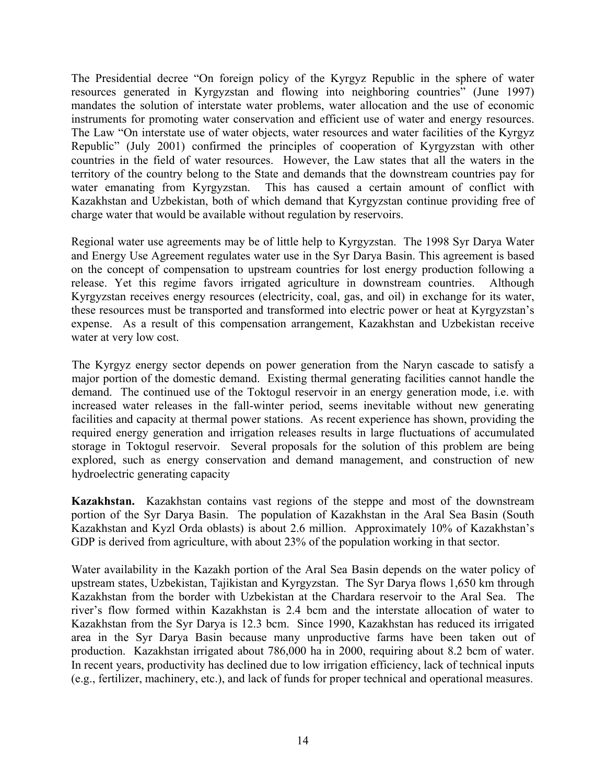The Presidential decree "On foreign policy of the Kyrgyz Republic in the sphere of water resources generated in Kyrgyzstan and flowing into neighboring countries" (June 1997) mandates the solution of interstate water problems, water allocation and the use of economic instruments for promoting water conservation and efficient use of water and energy resources. The Law "On interstate use of water objects, water resources and water facilities of the Kyrgyz Republic" (July 2001) confirmed the principles of cooperation of Kyrgyzstan with other countries in the field of water resources. However, the Law states that all the waters in the territory of the country belong to the State and demands that the downstream countries pay for water emanating from Kyrgyzstan. This has caused a certain amount of conflict with Kazakhstan and Uzbekistan, both of which demand that Kyrgyzstan continue providing free of charge water that would be available without regulation by reservoirs.

Regional water use agreements may be of little help to Kyrgyzstan. The 1998 Syr Darya Water and Energy Use Agreement regulates water use in the Syr Darya Basin. This agreement is based on the concept of compensation to upstream countries for lost energy production following a release. Yet this regime favors irrigated agriculture in downstream countries. Although Kyrgyzstan receives energy resources (electricity, coal, gas, and oil) in exchange for its water, these resources must be transported and transformed into electric power or heat at Kyrgyzstan's expense. As a result of this compensation arrangement, Kazakhstan and Uzbekistan receive water at very low cost.

The Kyrgyz energy sector depends on power generation from the Naryn cascade to satisfy a major portion of the domestic demand. Existing thermal generating facilities cannot handle the demand. The continued use of the Toktogul reservoir in an energy generation mode, i.e. with increased water releases in the fall-winter period, seems inevitable without new generating facilities and capacity at thermal power stations. As recent experience has shown, providing the required energy generation and irrigation releases results in large fluctuations of accumulated storage in Toktogul reservoir. Several proposals for the solution of this problem are being explored, such as energy conservation and demand management, and construction of new hydroelectric generating capacity

**Kazakhstan.** Kazakhstan contains vast regions of the steppe and most of the downstream portion of the Syr Darya Basin. The population of Kazakhstan in the Aral Sea Basin (South Kazakhstan and Kyzl Orda oblasts) is about 2.6 million. Approximately 10% of Kazakhstan's GDP is derived from agriculture, with about 23% of the population working in that sector.

Water availability in the Kazakh portion of the Aral Sea Basin depends on the water policy of upstream states, Uzbekistan, Tajikistan and Kyrgyzstan. The Syr Darya flows 1,650 km through Kazakhstan from the border with Uzbekistan at the Chardara reservoir to the Aral Sea. The river's flow formed within Kazakhstan is 2.4 bcm and the interstate allocation of water to Kazakhstan from the Syr Darya is 12.3 bcm. Since 1990, Kazakhstan has reduced its irrigated area in the Syr Darya Basin because many unproductive farms have been taken out of production. Kazakhstan irrigated about 786,000 ha in 2000, requiring about 8.2 bcm of water. In recent years, productivity has declined due to low irrigation efficiency, lack of technical inputs (e.g., fertilizer, machinery, etc.), and lack of funds for proper technical and operational measures.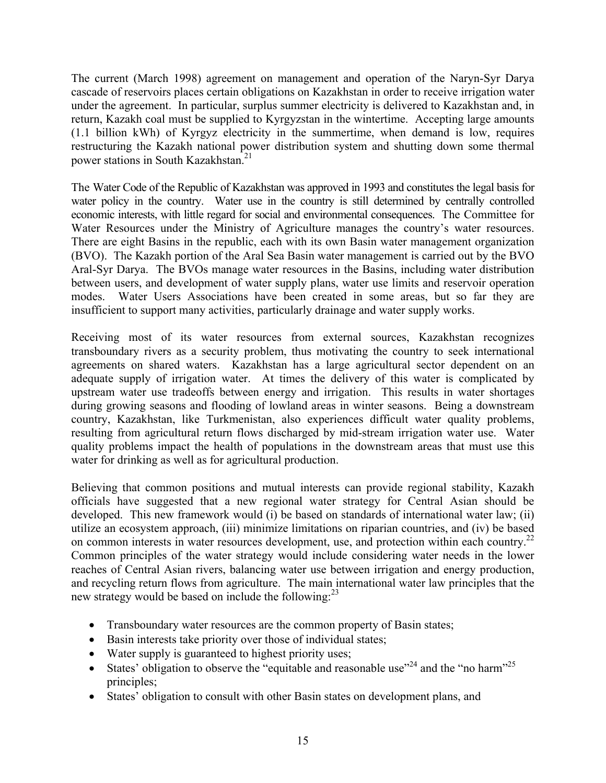The current (March 1998) agreement on management and operation of the Naryn-Syr Darya cascade of reservoirs places certain obligations on Kazakhstan in order to receive irrigation water under the agreement. In particular, surplus summer electricity is delivered to Kazakhstan and, in return, Kazakh coal must be supplied to Kyrgyzstan in the wintertime. Accepting large amounts (1.1 billion kWh) of Kyrgyz electricity in the summertime, when demand is low, requires restructuring the Kazakh national power distribution system and shutting down some thermal power stations in South Kazakhstan.<sup>21</sup>

The Water Code of the Republic of Kazakhstan was approved in 1993 and constitutes the legal basis for water policy in the country. Water use in the country is still determined by centrally controlled economic interests, with little regard for social and environmental consequences. The Committee for Water Resources under the Ministry of Agriculture manages the country's water resources. There are eight Basins in the republic, each with its own Basin water management organization (BVO). The Kazakh portion of the Aral Sea Basin water management is carried out by the BVO Aral-Syr Darya. The BVOs manage water resources in the Basins, including water distribution between users, and development of water supply plans, water use limits and reservoir operation modes. Water Users Associations have been created in some areas, but so far they are insufficient to support many activities, particularly drainage and water supply works.

Receiving most of its water resources from external sources, Kazakhstan recognizes transboundary rivers as a security problem, thus motivating the country to seek international agreements on shared waters. Kazakhstan has a large agricultural sector dependent on an adequate supply of irrigation water. At times the delivery of this water is complicated by upstream water use tradeoffs between energy and irrigation. This results in water shortages during growing seasons and flooding of lowland areas in winter seasons. Being a downstream country, Kazakhstan, like Turkmenistan, also experiences difficult water quality problems, resulting from agricultural return flows discharged by mid-stream irrigation water use. Water quality problems impact the health of populations in the downstream areas that must use this water for drinking as well as for agricultural production.

Believing that common positions and mutual interests can provide regional stability, Kazakh officials have suggested that a new regional water strategy for Central Asian should be developed. This new framework would (i) be based on standards of international water law; (ii) utilize an ecosystem approach, (iii) minimize limitations on riparian countries, and (iv) be based on common interests in water resources development, use, and protection within each country.<sup>22</sup> Common principles of the water strategy would include considering water needs in the lower reaches of Central Asian rivers, balancing water use between irrigation and energy production, and recycling return flows from agriculture. The main international water law principles that the new strategy would be based on include the following: $^{23}$ 

- Transboundary water resources are the common property of Basin states;
- Basin interests take priority over those of individual states;
- Water supply is guaranteed to highest priority uses;
- States' obligation to observe the "equitable and reasonable use"<sup>24</sup> and the "no harm"<sup>25</sup> principles;
- States' obligation to consult with other Basin states on development plans, and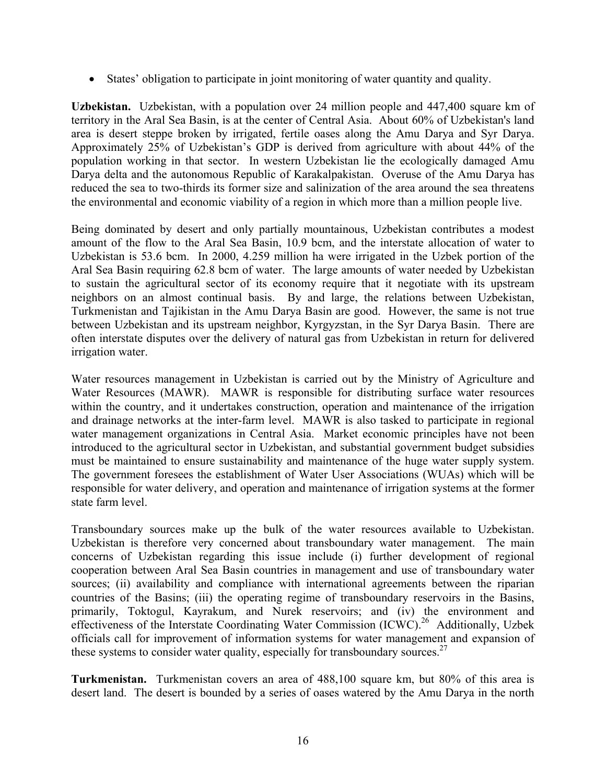• States' obligation to participate in joint monitoring of water quantity and quality.

**Uzbekistan.** Uzbekistan, with a population over 24 million people and 447,400 square km of territory in the Aral Sea Basin, is at the center of Central Asia. About 60% of Uzbekistan's land area is desert steppe broken by irrigated, fertile oases along the Amu Darya and Syr Darya. Approximately 25% of Uzbekistan's GDP is derived from agriculture with about 44% of the population working in that sector. In western Uzbekistan lie the ecologically damaged Amu Darya delta and the autonomous Republic of Karakalpakistan. Overuse of the Amu Darya has reduced the sea to two-thirds its former size and salinization of the area around the sea threatens the environmental and economic viability of a region in which more than a million people live.

Being dominated by desert and only partially mountainous, Uzbekistan contributes a modest amount of the flow to the Aral Sea Basin, 10.9 bcm, and the interstate allocation of water to Uzbekistan is 53.6 bcm. In 2000, 4.259 million ha were irrigated in the Uzbek portion of the Aral Sea Basin requiring 62.8 bcm of water. The large amounts of water needed by Uzbekistan to sustain the agricultural sector of its economy require that it negotiate with its upstream neighbors on an almost continual basis. By and large, the relations between Uzbekistan, Turkmenistan and Tajikistan in the Amu Darya Basin are good. However, the same is not true between Uzbekistan and its upstream neighbor, Kyrgyzstan, in the Syr Darya Basin. There are often interstate disputes over the delivery of natural gas from Uzbekistan in return for delivered irrigation water.

Water resources management in Uzbekistan is carried out by the Ministry of Agriculture and Water Resources (MAWR). MAWR is responsible for distributing surface water resources within the country, and it undertakes construction, operation and maintenance of the irrigation and drainage networks at the inter-farm level. MAWR is also tasked to participate in regional water management organizations in Central Asia. Market economic principles have not been introduced to the agricultural sector in Uzbekistan, and substantial government budget subsidies must be maintained to ensure sustainability and maintenance of the huge water supply system. The government foresees the establishment of Water User Associations (WUAs) which will be responsible for water delivery, and operation and maintenance of irrigation systems at the former state farm level.

Transboundary sources make up the bulk of the water resources available to Uzbekistan. Uzbekistan is therefore very concerned about transboundary water management. The main concerns of Uzbekistan regarding this issue include (i) further development of regional cooperation between Aral Sea Basin countries in management and use of transboundary water sources; (ii) availability and compliance with international agreements between the riparian countries of the Basins; (iii) the operating regime of transboundary reservoirs in the Basins, primarily, Toktogul, Kayrakum, and Nurek reservoirs; and (iv) the environment and effectiveness of the Interstate Coordinating Water Commission  $(ICWC)^{26}$  Additionally, Uzbek officials call for improvement of information systems for water management and expansion of these systems to consider water quality, especially for transboundary sources.<sup>27</sup>

**Turkmenistan.** Turkmenistan covers an area of 488,100 square km, but 80% of this area is desert land. The desert is bounded by a series of oases watered by the Amu Darya in the north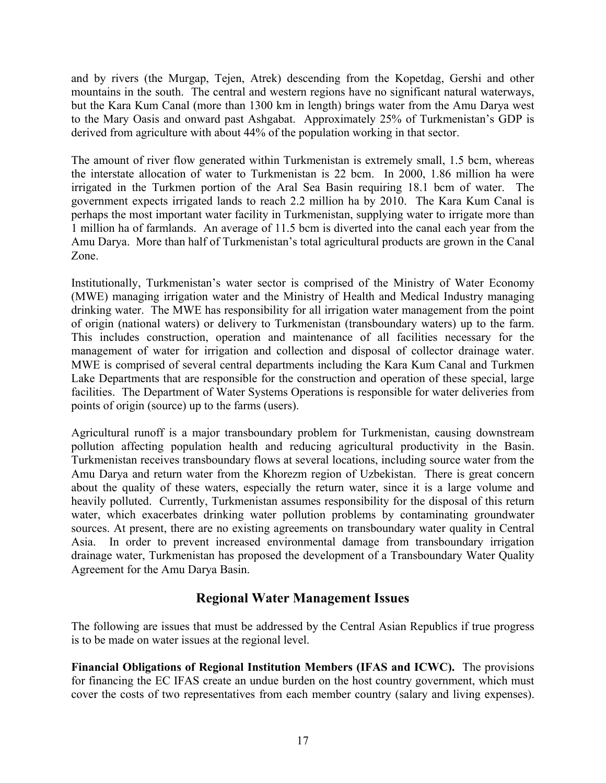and by rivers (the Murgap, Tejen, Atrek) descending from the Kopetdag, Gershi and other mountains in the south. The central and western regions have no significant natural waterways, but the Kara Kum Canal (more than 1300 km in length) brings water from the Amu Darya west to the Mary Oasis and onward past Ashgabat. Approximately 25% of Turkmenistan's GDP is derived from agriculture with about 44% of the population working in that sector.

The amount of river flow generated within Turkmenistan is extremely small, 1.5 bcm, whereas the interstate allocation of water to Turkmenistan is 22 bcm. In 2000, 1.86 million ha were irrigated in the Turkmen portion of the Aral Sea Basin requiring 18.1 bcm of water. The government expects irrigated lands to reach 2.2 million ha by 2010. The Kara Kum Canal is perhaps the most important water facility in Turkmenistan, supplying water to irrigate more than 1 million ha of farmlands. An average of 11.5 bcm is diverted into the canal each year from the Amu Darya. More than half of Turkmenistan's total agricultural products are grown in the Canal Zone.

Institutionally, Turkmenistan's water sector is comprised of the Ministry of Water Economy (MWE) managing irrigation water and the Ministry of Health and Medical Industry managing drinking water. The MWE has responsibility for all irrigation water management from the point of origin (national waters) or delivery to Turkmenistan (transboundary waters) up to the farm. This includes construction, operation and maintenance of all facilities necessary for the management of water for irrigation and collection and disposal of collector drainage water. MWE is comprised of several central departments including the Kara Kum Canal and Turkmen Lake Departments that are responsible for the construction and operation of these special, large facilities. The Department of Water Systems Operations is responsible for water deliveries from points of origin (source) up to the farms (users).

Agricultural runoff is a major transboundary problem for Turkmenistan, causing downstream pollution affecting population health and reducing agricultural productivity in the Basin. Turkmenistan receives transboundary flows at several locations, including source water from the Amu Darya and return water from the Khorezm region of Uzbekistan. There is great concern about the quality of these waters, especially the return water, since it is a large volume and heavily polluted. Currently, Turkmenistan assumes responsibility for the disposal of this return water, which exacerbates drinking water pollution problems by contaminating groundwater sources. At present, there are no existing agreements on transboundary water quality in Central Asia. In order to prevent increased environmental damage from transboundary irrigation drainage water, Turkmenistan has proposed the development of a Transboundary Water Quality Agreement for the Amu Darya Basin.

## **Regional Water Management Issues**

The following are issues that must be addressed by the Central Asian Republics if true progress is to be made on water issues at the regional level.

**Financial Obligations of Regional Institution Members (IFAS and ICWC).** The provisions for financing the EC IFAS create an undue burden on the host country government, which must cover the costs of two representatives from each member country (salary and living expenses).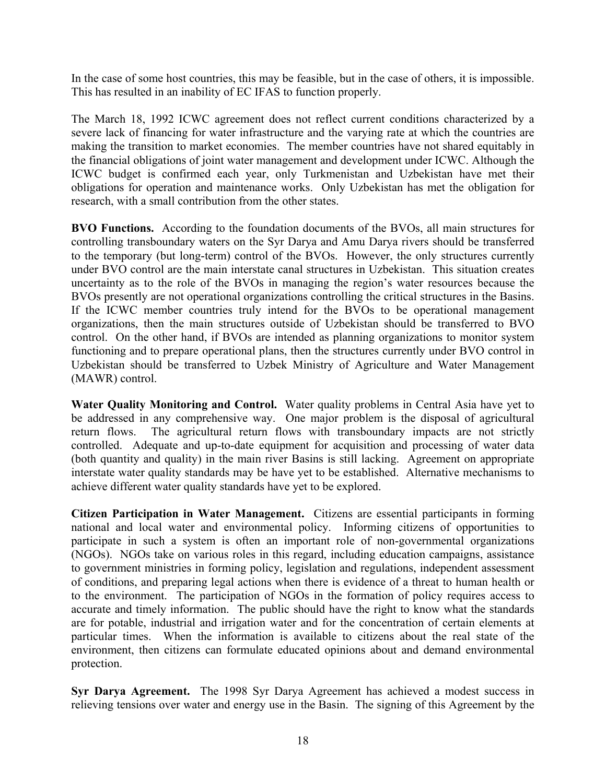In the case of some host countries, this may be feasible, but in the case of others, it is impossible. This has resulted in an inability of EC IFAS to function properly.

The March 18, 1992 ICWC agreement does not reflect current conditions characterized by a severe lack of financing for water infrastructure and the varying rate at which the countries are making the transition to market economies. The member countries have not shared equitably in the financial obligations of joint water management and development under ICWC. Although the ICWC budget is confirmed each year, only Turkmenistan and Uzbekistan have met their obligations for operation and maintenance works. Only Uzbekistan has met the obligation for research, with a small contribution from the other states.

**BVO Functions.** According to the foundation documents of the BVOs, all main structures for controlling transboundary waters on the Syr Darya and Amu Darya rivers should be transferred to the temporary (but long-term) control of the BVOs. However, the only structures currently under BVO control are the main interstate canal structures in Uzbekistan. This situation creates uncertainty as to the role of the BVOs in managing the region's water resources because the BVOs presently are not operational organizations controlling the critical structures in the Basins. If the ICWC member countries truly intend for the BVOs to be operational management organizations, then the main structures outside of Uzbekistan should be transferred to BVO control. On the other hand, if BVOs are intended as planning organizations to monitor system functioning and to prepare operational plans, then the structures currently under BVO control in Uzbekistan should be transferred to Uzbek Ministry of Agriculture and Water Management (MAWR) control.

**Water Quality Monitoring and Control.** Water quality problems in Central Asia have yet to be addressed in any comprehensive way. One major problem is the disposal of agricultural return flows. The agricultural return flows with transboundary impacts are not strictly controlled. Adequate and up-to-date equipment for acquisition and processing of water data (both quantity and quality) in the main river Basins is still lacking. Agreement on appropriate interstate water quality standards may be have yet to be established. Alternative mechanisms to achieve different water quality standards have yet to be explored.

**Citizen Participation in Water Management.** Citizens are essential participants in forming national and local water and environmental policy. Informing citizens of opportunities to participate in such a system is often an important role of non-governmental organizations (NGOs). NGOs take on various roles in this regard, including education campaigns, assistance to government ministries in forming policy, legislation and regulations, independent assessment of conditions, and preparing legal actions when there is evidence of a threat to human health or to the environment. The participation of NGOs in the formation of policy requires access to accurate and timely information. The public should have the right to know what the standards are for potable, industrial and irrigation water and for the concentration of certain elements at particular times. When the information is available to citizens about the real state of the environment, then citizens can formulate educated opinions about and demand environmental protection.

**Syr Darya Agreement.** The 1998 Syr Darya Agreement has achieved a modest success in relieving tensions over water and energy use in the Basin. The signing of this Agreement by the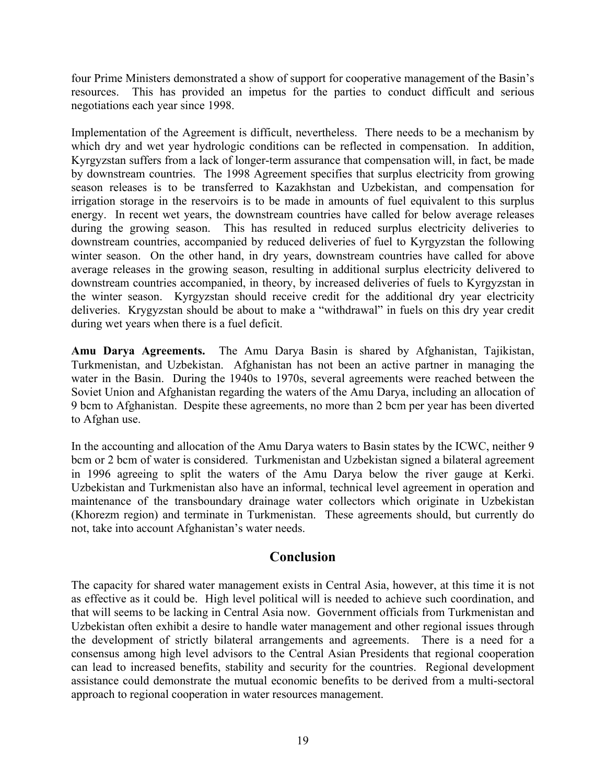four Prime Ministers demonstrated a show of support for cooperative management of the Basin's resources. This has provided an impetus for the parties to conduct difficult and serious negotiations each year since 1998.

Implementation of the Agreement is difficult, nevertheless. There needs to be a mechanism by which dry and wet year hydrologic conditions can be reflected in compensation. In addition, Kyrgyzstan suffers from a lack of longer-term assurance that compensation will, in fact, be made by downstream countries. The 1998 Agreement specifies that surplus electricity from growing season releases is to be transferred to Kazakhstan and Uzbekistan, and compensation for irrigation storage in the reservoirs is to be made in amounts of fuel equivalent to this surplus energy. In recent wet years, the downstream countries have called for below average releases during the growing season. This has resulted in reduced surplus electricity deliveries to downstream countries, accompanied by reduced deliveries of fuel to Kyrgyzstan the following winter season. On the other hand, in dry years, downstream countries have called for above average releases in the growing season, resulting in additional surplus electricity delivered to downstream countries accompanied, in theory, by increased deliveries of fuels to Kyrgyzstan in the winter season. Kyrgyzstan should receive credit for the additional dry year electricity deliveries. Krygyzstan should be about to make a "withdrawal" in fuels on this dry year credit during wet years when there is a fuel deficit.

**Amu Darya Agreements.** The Amu Darya Basin is shared by Afghanistan, Tajikistan, Turkmenistan, and Uzbekistan. Afghanistan has not been an active partner in managing the water in the Basin. During the 1940s to 1970s, several agreements were reached between the Soviet Union and Afghanistan regarding the waters of the Amu Darya, including an allocation of 9 bcm to Afghanistan. Despite these agreements, no more than 2 bcm per year has been diverted to Afghan use.

In the accounting and allocation of the Amu Darya waters to Basin states by the ICWC, neither 9 bcm or 2 bcm of water is considered. Turkmenistan and Uzbekistan signed a bilateral agreement in 1996 agreeing to split the waters of the Amu Darya below the river gauge at Kerki. Uzbekistan and Turkmenistan also have an informal, technical level agreement in operation and maintenance of the transboundary drainage water collectors which originate in Uzbekistan (Khorezm region) and terminate in Turkmenistan. These agreements should, but currently do not, take into account Afghanistan's water needs.

#### **Conclusion**

The capacity for shared water management exists in Central Asia, however, at this time it is not as effective as it could be. High level political will is needed to achieve such coordination, and that will seems to be lacking in Central Asia now. Government officials from Turkmenistan and Uzbekistan often exhibit a desire to handle water management and other regional issues through the development of strictly bilateral arrangements and agreements. There is a need for a consensus among high level advisors to the Central Asian Presidents that regional cooperation can lead to increased benefits, stability and security for the countries. Regional development assistance could demonstrate the mutual economic benefits to be derived from a multi-sectoral approach to regional cooperation in water resources management.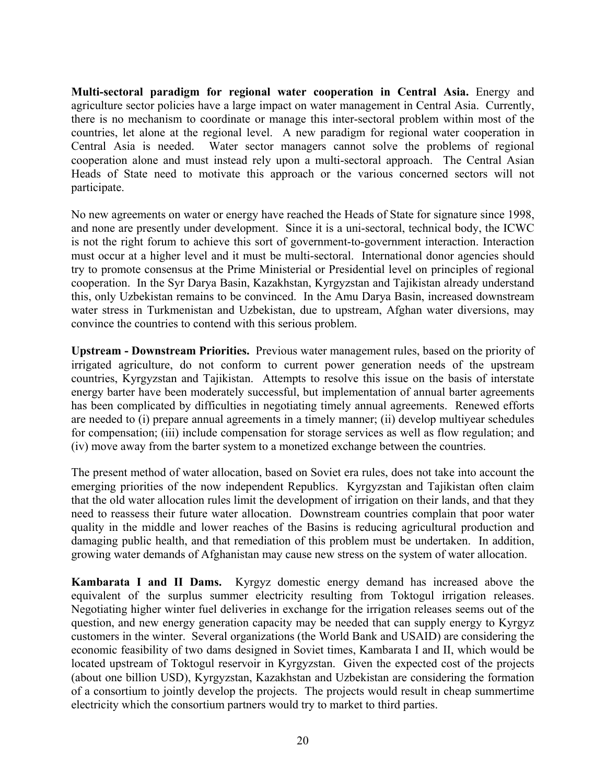**Multi-sectoral paradigm for regional water cooperation in Central Asia.** Energy and agriculture sector policies have a large impact on water management in Central Asia. Currently, there is no mechanism to coordinate or manage this inter-sectoral problem within most of the countries, let alone at the regional level. A new paradigm for regional water cooperation in Central Asia is needed. Water sector managers cannot solve the problems of regional cooperation alone and must instead rely upon a multi-sectoral approach. The Central Asian Heads of State need to motivate this approach or the various concerned sectors will not participate.

No new agreements on water or energy have reached the Heads of State for signature since 1998, and none are presently under development. Since it is a uni-sectoral, technical body, the ICWC is not the right forum to achieve this sort of government-to-government interaction. Interaction must occur at a higher level and it must be multi-sectoral. International donor agencies should try to promote consensus at the Prime Ministerial or Presidential level on principles of regional cooperation. In the Syr Darya Basin, Kazakhstan, Kyrgyzstan and Tajikistan already understand this, only Uzbekistan remains to be convinced. In the Amu Darya Basin, increased downstream water stress in Turkmenistan and Uzbekistan, due to upstream, Afghan water diversions, may convince the countries to contend with this serious problem.

**Upstream - Downstream Priorities.** Previous water management rules, based on the priority of irrigated agriculture, do not conform to current power generation needs of the upstream countries, Kyrgyzstan and Tajikistan. Attempts to resolve this issue on the basis of interstate energy barter have been moderately successful, but implementation of annual barter agreements has been complicated by difficulties in negotiating timely annual agreements. Renewed efforts are needed to (i) prepare annual agreements in a timely manner; (ii) develop multiyear schedules for compensation; (iii) include compensation for storage services as well as flow regulation; and (iv) move away from the barter system to a monetized exchange between the countries.

The present method of water allocation, based on Soviet era rules, does not take into account the emerging priorities of the now independent Republics. Kyrgyzstan and Tajikistan often claim that the old water allocation rules limit the development of irrigation on their lands, and that they need to reassess their future water allocation. Downstream countries complain that poor water quality in the middle and lower reaches of the Basins is reducing agricultural production and damaging public health, and that remediation of this problem must be undertaken. In addition, growing water demands of Afghanistan may cause new stress on the system of water allocation.

**Kambarata I and II Dams.** Kyrgyz domestic energy demand has increased above the equivalent of the surplus summer electricity resulting from Toktogul irrigation releases. Negotiating higher winter fuel deliveries in exchange for the irrigation releases seems out of the question, and new energy generation capacity may be needed that can supply energy to Kyrgyz customers in the winter. Several organizations (the World Bank and USAID) are considering the economic feasibility of two dams designed in Soviet times, Kambarata I and II, which would be located upstream of Toktogul reservoir in Kyrgyzstan. Given the expected cost of the projects (about one billion USD), Kyrgyzstan, Kazakhstan and Uzbekistan are considering the formation of a consortium to jointly develop the projects. The projects would result in cheap summertime electricity which the consortium partners would try to market to third parties.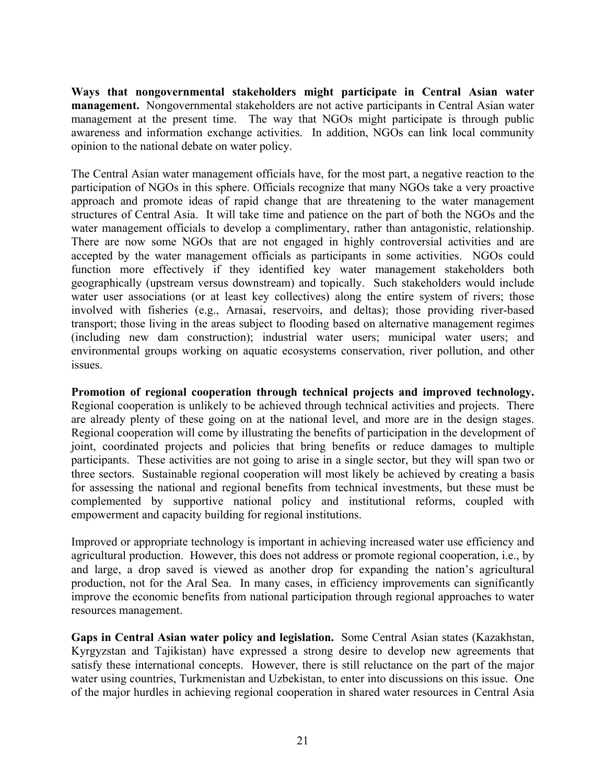**Ways that nongovernmental stakeholders might participate in Central Asian water management.** Nongovernmental stakeholders are not active participants in Central Asian water management at the present time. The way that NGOs might participate is through public awareness and information exchange activities. In addition, NGOs can link local community opinion to the national debate on water policy.

The Central Asian water management officials have, for the most part, a negative reaction to the participation of NGOs in this sphere. Officials recognize that many NGOs take a very proactive approach and promote ideas of rapid change that are threatening to the water management structures of Central Asia. It will take time and patience on the part of both the NGOs and the water management officials to develop a complimentary, rather than antagonistic, relationship. There are now some NGOs that are not engaged in highly controversial activities and are accepted by the water management officials as participants in some activities. NGOs could function more effectively if they identified key water management stakeholders both geographically (upstream versus downstream) and topically. Such stakeholders would include water user associations (or at least key collectives) along the entire system of rivers; those involved with fisheries (e.g., Arnasai, reservoirs, and deltas); those providing river-based transport; those living in the areas subject to flooding based on alternative management regimes (including new dam construction); industrial water users; municipal water users; and environmental groups working on aquatic ecosystems conservation, river pollution, and other issues.

**Promotion of regional cooperation through technical projects and improved technology.**  Regional cooperation is unlikely to be achieved through technical activities and projects. There are already plenty of these going on at the national level, and more are in the design stages. Regional cooperation will come by illustrating the benefits of participation in the development of joint, coordinated projects and policies that bring benefits or reduce damages to multiple participants. These activities are not going to arise in a single sector, but they will span two or three sectors. Sustainable regional cooperation will most likely be achieved by creating a basis for assessing the national and regional benefits from technical investments, but these must be complemented by supportive national policy and institutional reforms, coupled with empowerment and capacity building for regional institutions.

Improved or appropriate technology is important in achieving increased water use efficiency and agricultural production. However, this does not address or promote regional cooperation, i.e., by and large, a drop saved is viewed as another drop for expanding the nation's agricultural production, not for the Aral Sea. In many cases, in efficiency improvements can significantly improve the economic benefits from national participation through regional approaches to water resources management.

**Gaps in Central Asian water policy and legislation.** Some Central Asian states (Kazakhstan, Kyrgyzstan and Tajikistan) have expressed a strong desire to develop new agreements that satisfy these international concepts. However, there is still reluctance on the part of the major water using countries, Turkmenistan and Uzbekistan, to enter into discussions on this issue. One of the major hurdles in achieving regional cooperation in shared water resources in Central Asia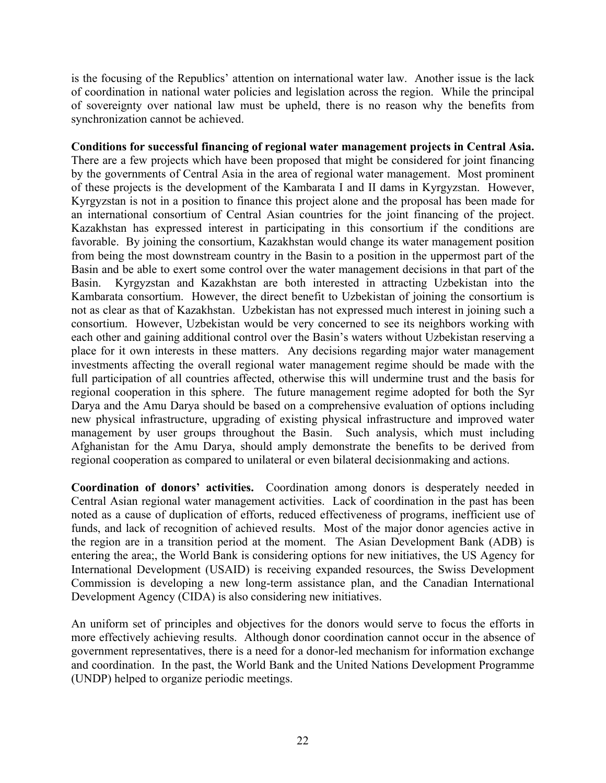is the focusing of the Republics' attention on international water law.Another issue is the lack of coordination in national water policies and legislation across the region. While the principal of sovereignty over national law must be upheld, there is no reason why the benefits from synchronization cannot be achieved.

**Conditions for successful financing of regional water management projects in Central Asia.**  There are a few projects which have been proposed that might be considered for joint financing by the governments of Central Asia in the area of regional water management. Most prominent of these projects is the development of the Kambarata I and II dams in Kyrgyzstan. However, Kyrgyzstan is not in a position to finance this project alone and the proposal has been made for an international consortium of Central Asian countries for the joint financing of the project. Kazakhstan has expressed interest in participating in this consortium if the conditions are favorable. By joining the consortium, Kazakhstan would change its water management position from being the most downstream country in the Basin to a position in the uppermost part of the Basin and be able to exert some control over the water management decisions in that part of the Basin.Kyrgyzstan and Kazakhstan are both interested in attracting Uzbekistan into the Kambarata consortium. However, the direct benefit to Uzbekistan of joining the consortium is not as clear as that of Kazakhstan. Uzbekistan has not expressed much interest in joining such a consortium. However, Uzbekistan would be very concerned to see its neighbors working with each other and gaining additional control over the Basin's waters without Uzbekistan reserving a place for it own interests in these matters. Any decisions regarding major water management investments affecting the overall regional water management regime should be made with the full participation of all countries affected, otherwise this will undermine trust and the basis for regional cooperation in this sphere. The future management regime adopted for both the Syr Darya and the Amu Darya should be based on a comprehensive evaluation of options including new physical infrastructure, upgrading of existing physical infrastructure and improved water management by user groups throughout the Basin. Such analysis, which must including Afghanistan for the Amu Darya, should amply demonstrate the benefits to be derived from regional cooperation as compared to unilateral or even bilateral decisionmaking and actions.

**Coordination of donors' activities.** Coordination among donors is desperately needed in Central Asian regional water management activities. Lack of coordination in the past has been noted as a cause of duplication of efforts, reduced effectiveness of programs, inefficient use of funds, and lack of recognition of achieved results. Most of the major donor agencies active in the region are in a transition period at the moment. The Asian Development Bank (ADB) is entering the area;, the World Bank is considering options for new initiatives, the US Agency for International Development (USAID) is receiving expanded resources, the Swiss Development Commission is developing a new long-term assistance plan, and the Canadian International Development Agency (CIDA) is also considering new initiatives.

An uniform set of principles and objectives for the donors would serve to focus the efforts in more effectively achieving results. Although donor coordination cannot occur in the absence of government representatives, there is a need for a donor-led mechanism for information exchange and coordination. In the past, the World Bank and the United Nations Development Programme (UNDP) helped to organize periodic meetings.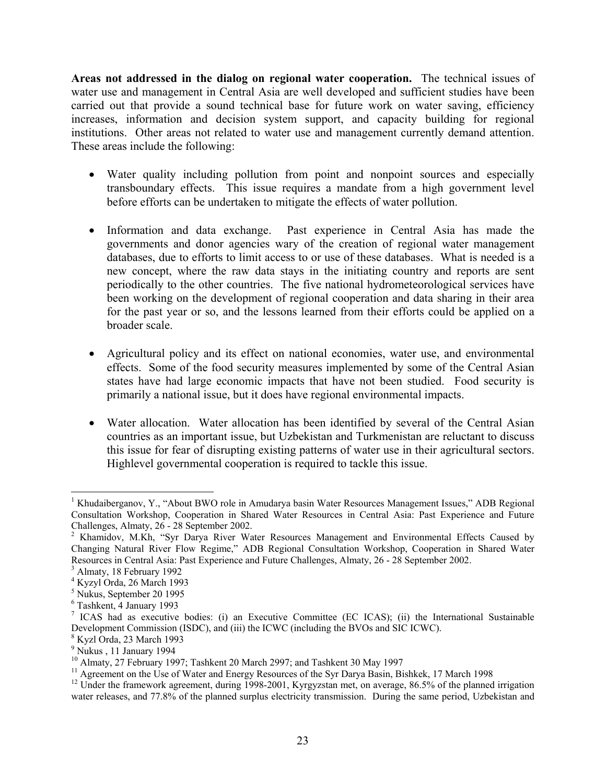**Areas not addressed in the dialog on regional water cooperation.** The technical issues of water use and management in Central Asia are well developed and sufficient studies have been carried out that provide a sound technical base for future work on water saving, efficiency increases, information and decision system support, and capacity building for regional institutions. Other areas not related to water use and management currently demand attention. These areas include the following:

- Water quality including pollution from point and nonpoint sources and especially transboundary effects. This issue requires a mandate from a high government level before efforts can be undertaken to mitigate the effects of water pollution.
- Information and data exchange. Past experience in Central Asia has made the governments and donor agencies wary of the creation of regional water management databases, due to efforts to limit access to or use of these databases. What is needed is a new concept, where the raw data stays in the initiating country and reports are sent periodically to the other countries. The five national hydrometeorological services have been working on the development of regional cooperation and data sharing in their area for the past year or so, and the lessons learned from their efforts could be applied on a broader scale.
- Agricultural policy and its effect on national economies, water use, and environmental effects. Some of the food security measures implemented by some of the Central Asian states have had large economic impacts that have not been studied. Food security is primarily a national issue, but it does have regional environmental impacts.
- Water allocation. Water allocation has been identified by several of the Central Asian countries as an important issue, but Uzbekistan and Turkmenistan are reluctant to discuss this issue for fear of disrupting existing patterns of water use in their agricultural sectors. Highlevel governmental cooperation is required to tackle this issue.

 $\overline{a}$ <sup>1</sup> Khudaiberganov, Y., "About BWO role in Amudarya basin Water Resources Management Issues," ADB Regional Consultation Workshop, Cooperation in Shared Water Resources in Central Asia: Past Experience and Future Challenges, Almaty, 26 - 28 September 2002.

<sup>&</sup>lt;sup>2</sup> Khamidov, M.Kh, "Syr Darya River Water Resources Management and Environmental Effects Caused by Changing Natural River Flow Regime," ADB Regional Consultation Workshop, Cooperation in Shared Water Resources in Central Asia: Past Experience and Future Challenges, Almaty, 26 - 28 September 2002.

<sup>&</sup>lt;sup>3</sup> Almaty, 18 February 1992

<sup>4</sup> Kyzyl Orda, 26 March 1993

<sup>5</sup> Nukus, September 20 1995

<sup>6</sup> Tashkent, 4 January 1993

<sup>7</sup> ICAS had as executive bodies: (i) an Executive Committee (EC ICAS); (ii) the International Sustainable Development Commission (ISDC), and (iii) the ICWC (including the BVOs and SIC ICWC).

<sup>8</sup> Kyzl Orda, 23 March 1993

<sup>9</sup> Nukus , 11 January 1994

<sup>&</sup>lt;sup>10</sup> Almaty, 27 February 1997; Tashkent 20 March 2997; and Tashkent 30 May 1997

<sup>&</sup>lt;sup>11</sup> Agreement on the Use of Water and Energy Resources of the Syr Darya Basin, Bishkek, 17 March 1998

<sup>&</sup>lt;sup>12</sup> Under the framework agreement, during 1998-2001, Kyrgyzstan met, on average, 86.5% of the planned irrigation water releases, and 77.8% of the planned surplus electricity transmission. During the same period, Uzbekistan and